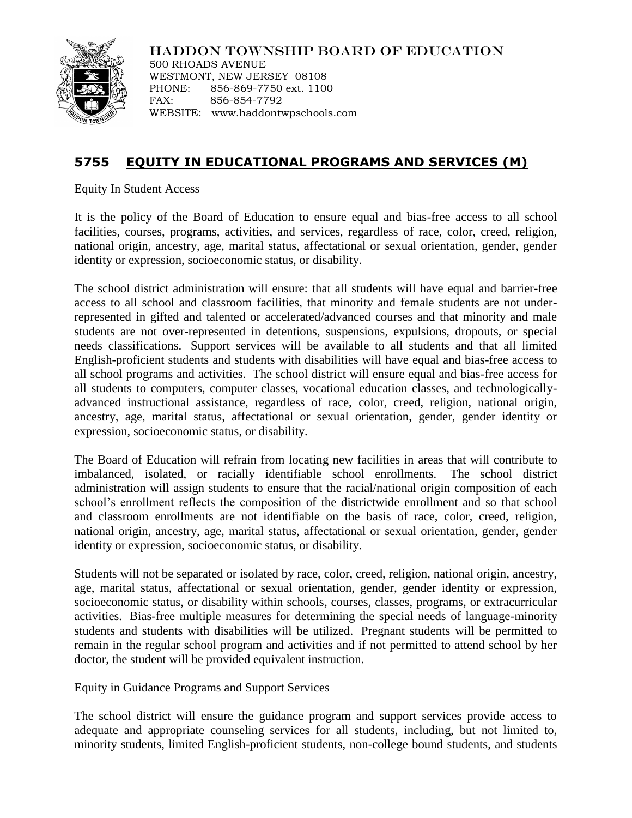

HADDON TOWNSHIP BOARD OF EDUCATION

500 RHOADS AVENUE WESTMONT, NEW JERSEY 08108 PHONE: 856-869-7750 ext. 1100 FAX: 856-854-7792 WEBSITE: www.haddontwpschools.com

## **5755 EQUITY IN EDUCATIONAL PROGRAMS AND SERVICES (M)**

Equity In Student Access

It is the policy of the Board of Education to ensure equal and bias-free access to all school facilities, courses, programs, activities, and services, regardless of race, color, creed, religion, national origin, ancestry, age, marital status, affectational or sexual orientation, gender, gender identity or expression, socioeconomic status, or disability.

The school district administration will ensure: that all students will have equal and barrier-free access to all school and classroom facilities, that minority and female students are not underrepresented in gifted and talented or accelerated/advanced courses and that minority and male students are not over-represented in detentions, suspensions, expulsions, dropouts, or special needs classifications. Support services will be available to all students and that all limited English-proficient students and students with disabilities will have equal and bias-free access to all school programs and activities. The school district will ensure equal and bias-free access for all students to computers, computer classes, vocational education classes, and technologicallyadvanced instructional assistance, regardless of race, color, creed, religion, national origin, ancestry, age, marital status, affectational or sexual orientation, gender, gender identity or expression, socioeconomic status, or disability.

The Board of Education will refrain from locating new facilities in areas that will contribute to imbalanced, isolated, or racially identifiable school enrollments. The school district administration will assign students to ensure that the racial/national origin composition of each school's enrollment reflects the composition of the districtwide enrollment and so that school and classroom enrollments are not identifiable on the basis of race, color, creed, religion, national origin, ancestry, age, marital status, affectational or sexual orientation, gender, gender identity or expression, socioeconomic status, or disability.

Students will not be separated or isolated by race, color, creed, religion, national origin, ancestry, age, marital status, affectational or sexual orientation, gender, gender identity or expression, socioeconomic status, or disability within schools, courses, classes, programs, or extracurricular activities. Bias-free multiple measures for determining the special needs of language-minority students and students with disabilities will be utilized. Pregnant students will be permitted to remain in the regular school program and activities and if not permitted to attend school by her doctor, the student will be provided equivalent instruction.

Equity in Guidance Programs and Support Services

The school district will ensure the guidance program and support services provide access to adequate and appropriate counseling services for all students, including, but not limited to, minority students, limited English-proficient students, non-college bound students, and students